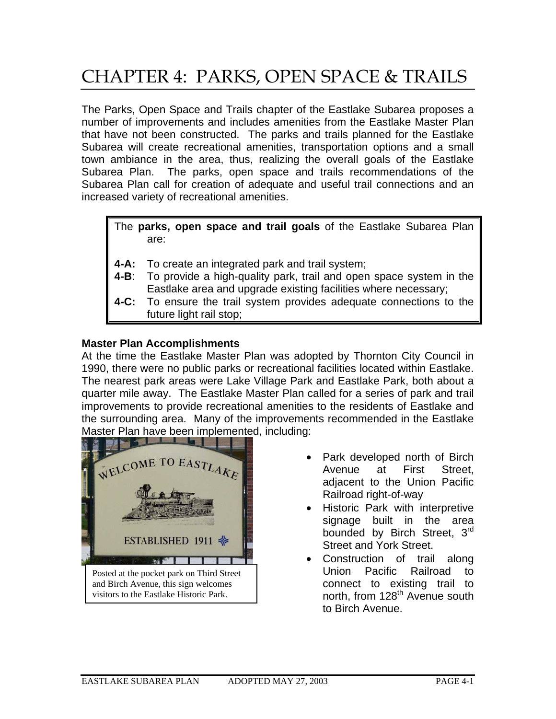# CHAPTER 4: PARKS, OPEN SPACE & TRAILS

The Parks, Open Space and Trails chapter of the Eastlake Subarea proposes a number of improvements and includes amenities from the Eastlake Master Plan that have not been constructed. The parks and trails planned for the Eastlake Subarea will create recreational amenities, transportation options and a small town ambiance in the area, thus, realizing the overall goals of the Eastlake Subarea Plan. The parks, open space and trails recommendations of the Subarea Plan call for creation of adequate and useful trail connections and an increased variety of recreational amenities.

The **parks, open space and trail goals** of the Eastlake Subarea Plan are:

- **4-A:** To create an integrated park and trail system;
- **4-B**: To provide a high-quality park, trail and open space system in the Eastlake area and upgrade existing facilities where necessary;
- **4-C:** To ensure the trail system provides adequate connections to the future light rail stop;

## **Master Plan Accomplishments**

At the time the Eastlake Master Plan was adopted by Thornton City Council in 1990, there were no public parks or recreational facilities located within Eastlake. The nearest park areas were Lake Village Park and Eastlake Park, both about a quarter mile away. The Eastlake Master Plan called for a series of park and trail improvements to provide recreational amenities to the residents of Eastlake and the surrounding area. Many of the improvements recommended in the Eastlake Master Plan have been implemented, including:



Posted at the pocket park on Third Street and Birch Avenue, this sign welcomes visitors to the Eastlake Historic Park.

- Park developed north of Birch Avenue at First Street, adjacent to the Union Pacific Railroad right-of-way
- Historic Park with interpretive signage built in the area bounded by Birch Street, 3<sup>rd</sup> Street and York Street.
- Construction of trail along Union Pacific Railroad to connect to existing trail to north, from 128<sup>th</sup> Avenue south to Birch Avenue.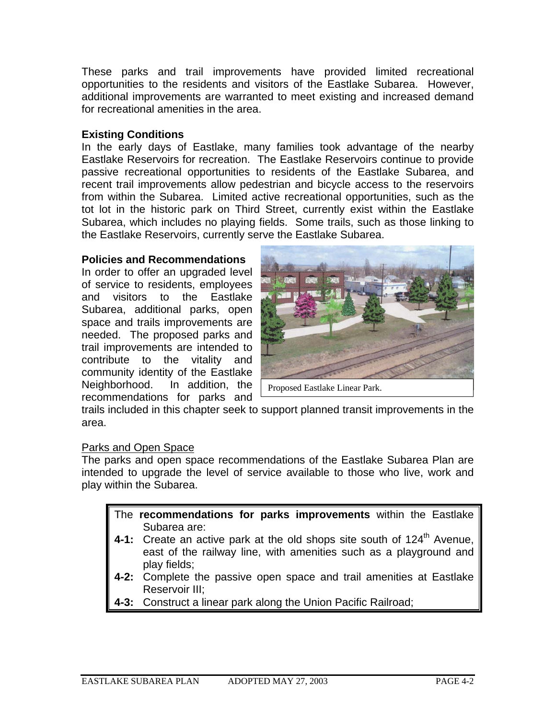These parks and trail improvements have provided limited recreational opportunities to the residents and visitors of the Eastlake Subarea. However, additional improvements are warranted to meet existing and increased demand for recreational amenities in the area.

## **Existing Conditions**

In the early days of Eastlake, many families took advantage of the nearby Eastlake Reservoirs for recreation. The Eastlake Reservoirs continue to provide passive recreational opportunities to residents of the Eastlake Subarea, and recent trail improvements allow pedestrian and bicycle access to the reservoirs from within the Subarea. Limited active recreational opportunities, such as the tot lot in the historic park on Third Street, currently exist within the Eastlake Subarea, which includes no playing fields. Some trails, such as those linking to the Eastlake Reservoirs, currently serve the Eastlake Subarea.

#### **Policies and Recommendations**

In order to offer an upgraded level of service to residents, employees and visitors to the Eastlake Subarea, additional parks, open space and trails improvements are needed. The proposed parks and trail improvements are intended to contribute to the vitality and community identity of the Eastlake Neighborhood. In addition, the recommendations for parks and



Proposed Eastlake Linear Park.

trails included in this chapter seek to support planned transit improvements in the area.

#### Parks and Open Space

The parks and open space recommendations of the Eastlake Subarea Plan are intended to upgrade the level of service available to those who live, work and play within the Subarea.

- The **recommendations for parks improvements** within the Eastlake Subarea are:
- **4-1:** Create an active park at the old shops site south of 124<sup>th</sup> Avenue, east of the railway line, with amenities such as a playground and play fields;
- **4-2:** Complete the passive open space and trail amenities at Eastlake Reservoir III;
- **4-3:** Construct a linear park along the Union Pacific Railroad;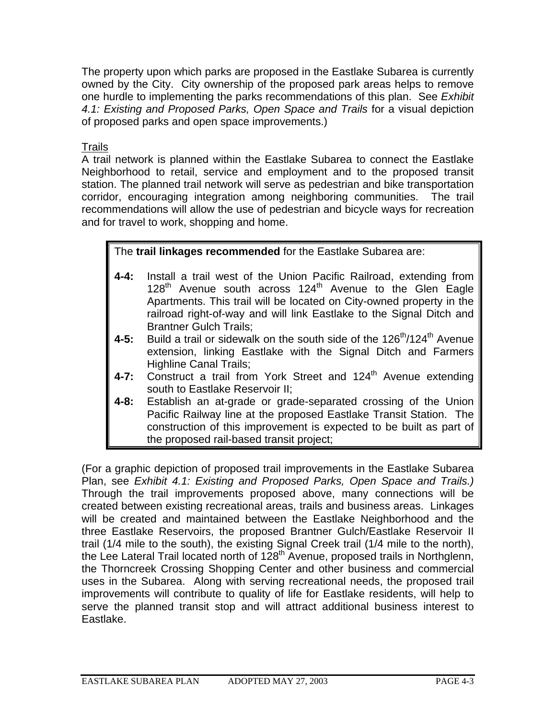The property upon which parks are proposed in the Eastlake Subarea is currently owned by the City. City ownership of the proposed park areas helps to remove one hurdle to implementing the parks recommendations of this plan. See *Exhibit 4.1: Existing and Proposed Parks, Open Space and Trails* for a visual depiction of proposed parks and open space improvements.)

Trails

A trail network is planned within the Eastlake Subarea to connect the Eastlake Neighborhood to retail, service and employment and to the proposed transit station. The planned trail network will serve as pedestrian and bike transportation corridor, encouraging integration among neighboring communities. The trail recommendations will allow the use of pedestrian and bicycle ways for recreation and for travel to work, shopping and home.

# The **trail linkages recommended** for the Eastlake Subarea are:

- **4-4:** Install a trail west of the Union Pacific Railroad, extending from  $128<sup>th</sup>$  Avenue south across  $124<sup>th</sup>$  Avenue to the Glen Eagle Apartments. This trail will be located on City-owned property in the railroad right-of-way and will link Eastlake to the Signal Ditch and Brantner Gulch Trails;
- **4-5:** Build a trail or sidewalk on the south side of the 126<sup>th</sup>/124<sup>th</sup> Avenue extension, linking Eastlake with the Signal Ditch and Farmers Highline Canal Trails;
- 4-7: Construct a trail from York Street and 124<sup>th</sup> Avenue extending south to Eastlake Reservoir II;
- **4-8:** Establish an at-grade or grade-separated crossing of the Union Pacific Railway line at the proposed Eastlake Transit Station. The construction of this improvement is expected to be built as part of the proposed rail-based transit project;

(For a graphic depiction of proposed trail improvements in the Eastlake Subarea Plan, see *Exhibit 4.1: Existing and Proposed Parks, Open Space and Trails.)* Through the trail improvements proposed above, many connections will be created between existing recreational areas, trails and business areas. Linkages will be created and maintained between the Eastlake Neighborhood and the three Eastlake Reservoirs, the proposed Brantner Gulch/Eastlake Reservoir II trail (1/4 mile to the south), the existing Signal Creek trail (1/4 mile to the north), the Lee Lateral Trail located north of 128<sup>th</sup> Avenue, proposed trails in Northglenn, the Thorncreek Crossing Shopping Center and other business and commercial uses in the Subarea. Along with serving recreational needs, the proposed trail improvements will contribute to quality of life for Eastlake residents, will help to serve the planned transit stop and will attract additional business interest to Eastlake.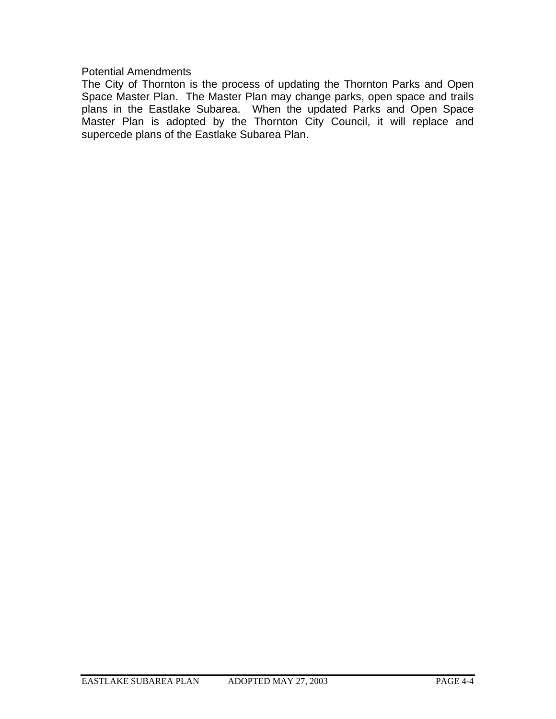Potential Amendments

The City of Thornton is the process of updating the Thornton Parks and Open Space Master Plan. The Master Plan may change parks, open space and trails plans in the Eastlake Subarea. When the updated Parks and Open Space Master Plan is adopted by the Thornton City Council, it will replace and supercede plans of the Eastlake Subarea Plan.